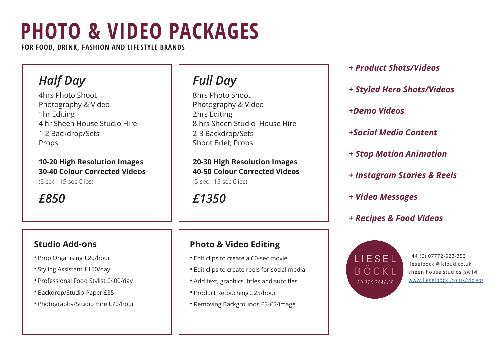# **PHOTO & VIDEO PACKAGES**

**FOR FOOD, DRINK, FASHION AND LIFESTYLE BRANDS**

### *Half Day*

4hrs Photo Shoot Photography & Video 1hr Editing 4 hr Sheen House Studio Hire 1-2 Backdrop/Sets Props

#### **10-20 High Resolution Images 30-40 Colour Corrected Videos**

(5-sec - 15-sec Clips)

*£850*

#### **Studio Add-ons**

- **·** Prop Organising £20/hour
- **·** Styling Assistant £150/day
- **·** Professional Food Stylist £400/day
- **·** Backdrop/Studio Paper £35
- **·** Photography/Studio Hire £70/hour

### *Full Day*

8hrs Photo Shoot Photography & Video 2hrs Editing 8 hrs Sheen Studio House Hire 2-3 Backdrop/Sets Shoot Brief, Props

**20-30 High Resolution Images 40-50 Colour Corrected Videos** (5-sec - 15-sec Clips)

*£1350*

#### **Photo & Video Editing**

- **·** Edit clips to create a 60-sec movie
- **·** Edit clips to create reels for social media
- **·** Add text, graphics, titles and subtitles
- **·** Product Retouching £25/hour
- **·** Removing Backgrounds £3-£5/image
- *+ Product Shots/Videos*
- *+ Styled Hero Shots/Videos*
- *+Demo Videos*
- *+Social Media Content*
- *+ Stop Motion Animation*
- *+ Instagram Stories & Reels*
- *+ Video Messages*
- *+ Recipes & Food Videos*



+44 (0) 07772-623-353 lieselbockl@icloud.co.uk sheen house studios sw14 www.lieselbockl.co.uk/video/